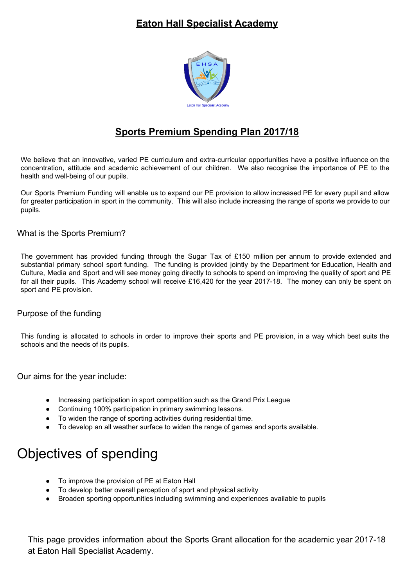## **Eaton Hall Specialist Academy**



## **Sports Premium Spending Plan 2017/18**

We believe that an innovative, varied PE curriculum and extra-curricular opportunities have a positive influence on the concentration, attitude and academic achievement of our children. We also recognise the importance of PE to the health and well-being of our pupils.

Our Sports Premium Funding will enable us to expand our PE provision to allow increased PE for every pupil and allow for greater participation in sport in the community. This will also include increasing the range of sports we provide to our pupils.

What is the Sports Premium?

The government has provided funding through the Sugar Tax of £150 million per annum to provide extended and substantial primary school sport funding. The funding is provided jointly by the Department for Education, Health and Culture, Media and Sport and will see money going directly to schools to spend on improving the quality of sport and PE for all their pupils. This Academy school will receive £16,420 for the year 2017-18. The money can only be spent on sport and PE provision.

## Purpose of the funding

This funding is allocated to schools in order to improve their sports and PE provision, in a way which best suits the schools and the needs of its pupils.

Our aims for the year include:

- Increasing participation in sport competition such as the Grand Prix League
- Continuing 100% participation in primary swimming lessons.
- To widen the range of sporting activities during residential time.
- To develop an all weather surface to widen the range of games and sports available.

## Objectives of spending

- To improve the provision of PE at Eaton Hall
- To develop better overall perception of sport and physical activity
- Broaden sporting opportunities including swimming and experiences available to pupils

This page provides information about the Sports Grant allocation for the academic year 2017-18 at Eaton Hall Specialist Academy.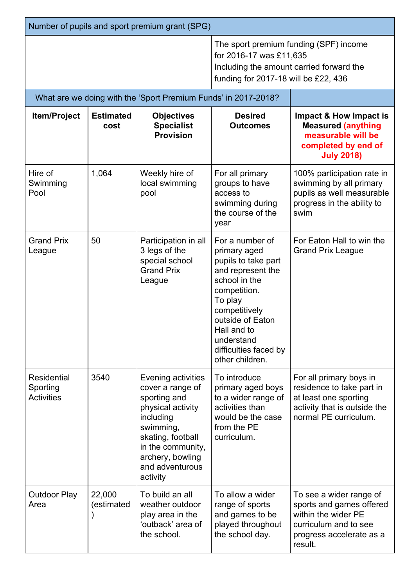| Number of pupils and sport premium grant (SPG)      |                          |                                                                                                                                                                                                    |                                                                                                                                                                                                                                       |                                                                                                                                            |  |
|-----------------------------------------------------|--------------------------|----------------------------------------------------------------------------------------------------------------------------------------------------------------------------------------------------|---------------------------------------------------------------------------------------------------------------------------------------------------------------------------------------------------------------------------------------|--------------------------------------------------------------------------------------------------------------------------------------------|--|
|                                                     |                          |                                                                                                                                                                                                    | The sport premium funding (SPF) income<br>for 2016-17 was £11,635<br>Including the amount carried forward the<br>funding for 2017-18 will be £22, 436                                                                                 |                                                                                                                                            |  |
|                                                     |                          | What are we doing with the 'Sport Premium Funds' in 2017-2018?                                                                                                                                     |                                                                                                                                                                                                                                       |                                                                                                                                            |  |
| <b>Item/Project</b>                                 | <b>Estimated</b><br>cost | <b>Objectives</b><br><b>Specialist</b><br><b>Provision</b>                                                                                                                                         | <b>Desired</b><br><b>Outcomes</b>                                                                                                                                                                                                     | Impact & How Impact is<br><b>Measured (anything</b><br>measurable will be<br>completed by end of<br><b>July 2018)</b>                      |  |
| Hire of<br>Swimming<br>Pool                         | 1,064                    | Weekly hire of<br>local swimming<br>pool                                                                                                                                                           | For all primary<br>groups to have<br>access to<br>swimming during<br>the course of the<br>year                                                                                                                                        | 100% participation rate in<br>swimming by all primary<br>pupils as well measurable<br>progress in the ability to<br>swim                   |  |
| <b>Grand Prix</b><br>League                         | 50                       | Participation in all<br>3 legs of the<br>special school<br><b>Grand Prix</b><br>League                                                                                                             | For a number of<br>primary aged<br>pupils to take part<br>and represent the<br>school in the<br>competition.<br>To play<br>competitively<br>outside of Eaton<br>Hall and to<br>understand<br>difficulties faced by<br>other children. | For Eaton Hall to win the<br><b>Grand Prix League</b>                                                                                      |  |
| <b>Residential</b><br>Sporting<br><b>Activities</b> | 3540                     | Evening activities<br>cover a range of<br>sporting and<br>physical activity<br>including<br>swimming,<br>skating, football<br>in the community,<br>archery, bowling<br>and adventurous<br>activity | To introduce<br>primary aged boys<br>to a wider range of<br>activities than<br>would be the case<br>from the PE<br>curriculum.                                                                                                        | For all primary boys in<br>residence to take part in<br>at least one sporting<br>activity that is outside the<br>normal PE curriculum.     |  |
| <b>Outdoor Play</b><br>Area                         | 22,000<br>(estimated     | To build an all<br>weather outdoor<br>play area in the<br>'outback' area of<br>the school.                                                                                                         | To allow a wider<br>range of sports<br>and games to be<br>played throughout<br>the school day.                                                                                                                                        | To see a wider range of<br>sports and games offered<br>within the wider PE<br>curriculum and to see<br>progress accelerate as a<br>result. |  |